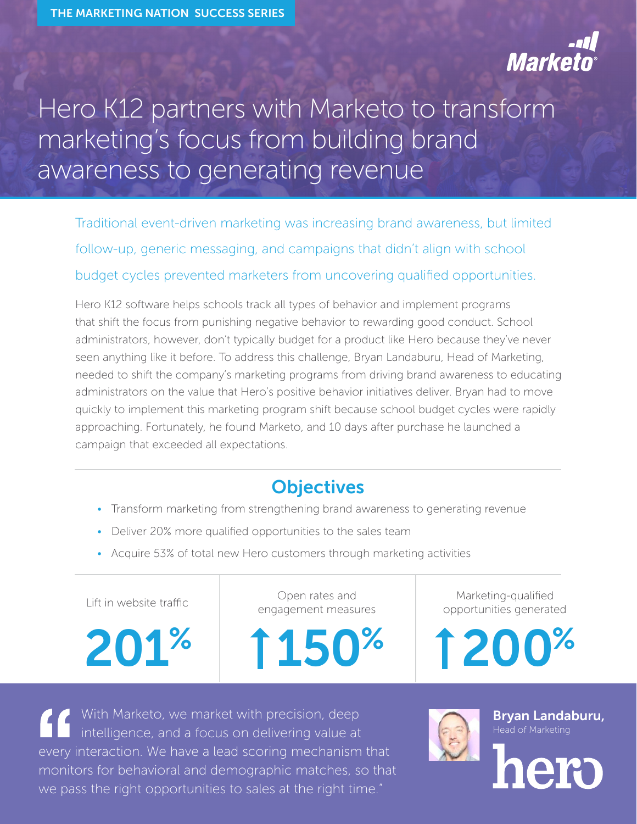

## Hero K12 partners with Marketo to transform marketing's focus from building brand awareness to generating revenue

Traditional event-driven marketing was increasing brand awareness, but limited follow-up, generic messaging, and campaigns that didn't align with school budget cycles prevented marketers from uncovering qualified opportunities.

Hero K12 software helps schools track all types of behavior and implement programs that shift the focus from punishing negative behavior to rewarding good conduct. School administrators, however, don't typically budget for a product like Hero because they've never seen anything like it before. To address this challenge, Bryan Landaburu, Head of Marketing, needed to shift the company's marketing programs from driving brand awareness to educating administrators on the value that Hero's positive behavior initiatives deliver. Bryan had to move quickly to implement this marketing program shift because school budget cycles were rapidly approaching. Fortunately, he found Marketo, and 10 days after purchase he launched a campaign that exceeded all expectations.

## **Objectives**

- Transform marketing from strengthening brand awareness to generating revenue
- Deliver 20% more qualified opportunities to the sales team
- Acquire 53% of total new Hero customers through marketing activities

Lift in website traffic Community Copen rates and engagement measures



With Marketo, we market with precision, deep intelligence, and a focus on delivering value at every interaction. We have a lead scoring mechanism that monitors for behavioral and demographic matches, so that we pass the right opportunities to sales at the right time."

Marketing-qualified opportunities generated